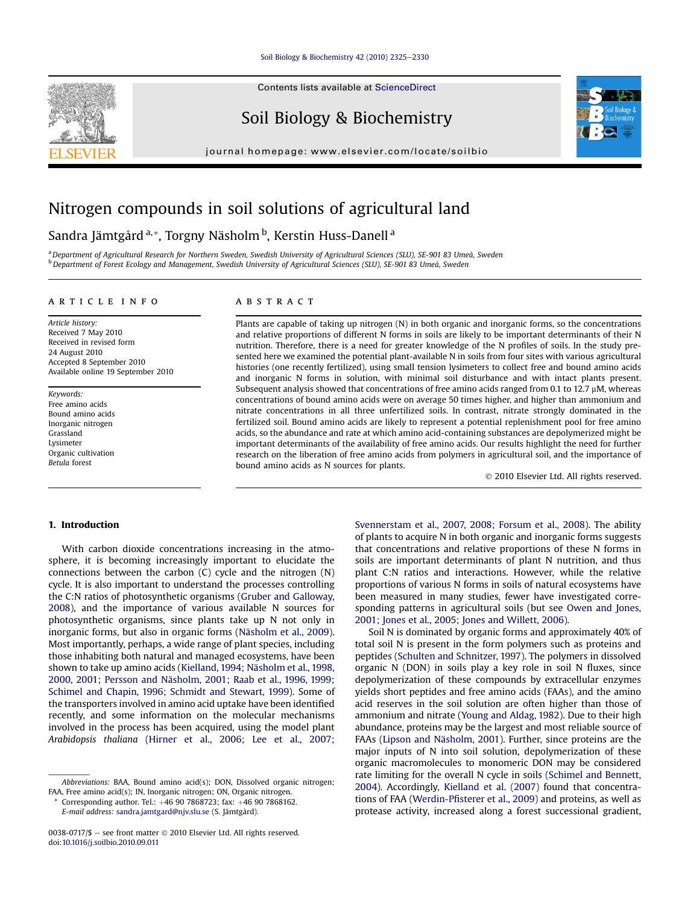#### [Soil Biology & Biochemistry 42 \(2010\) 2325](http://dx.doi.org/10.1016/j.soilbio.2010.09.011)-[2330](http://dx.doi.org/10.1016/j.soilbio.2010.09.011)

Contents lists available at ScienceDirect

# Soil Biology & Biochemistry

journal homepage: [www.elsevier.com/locate/soilbio](http://www.elsevier.com/locate/soilbio)



# Nitrogen compounds in soil solutions of agricultural land

# Sandra Jämtgård <sup>a,</sup>\*, Torgny Näsholm <sup>b</sup>, Kerstin Huss-Danell <sup>a</sup>

a Department of Agricultural Research for Northern Sweden, Swedish University of Agricultural Sciences (SLU), SE-901 83 Umeå, Sweden <sup>b</sup> Department of Forest Ecology and Management, Swedish University of Agricultural Sciences (SLU), SE-901 83 Umeå, Sweden

#### article info

Article history: Received 7 May 2010 Received in revised form 24 August 2010 Accepted 8 September 2010 Available online 19 September 2010

Keywords: Free amino acids Bound amino acids Inorganic nitrogen Grassland Lysimeter Organic cultivation Betula forest

# ABSTRACT

Plants are capable of taking up nitrogen (N) in both organic and inorganic forms, so the concentrations and relative proportions of different N forms in soils are likely to be important determinants of their N nutrition. Therefore, there is a need for greater knowledge of the N profiles of soils. In the study presented here we examined the potential plant-available N in soils from four sites with various agricultural histories (one recently fertilized), using small tension lysimeters to collect free and bound amino acids and inorganic N forms in solution, with minimal soil disturbance and with intact plants present. Subsequent analysis showed that concentrations of free amino acids ranged from 0.1 to 12.7 µM, whereas concentrations of bound amino acids were on average 50 times higher, and higher than ammonium and nitrate concentrations in all three unfertilized soils. In contrast, nitrate strongly dominated in the fertilized soil. Bound amino acids are likely to represent a potential replenishment pool for free amino acids, so the abundance and rate at which amino acid-containing substances are depolymerized might be important determinants of the availability of free amino acids. Our results highlight the need for further research on the liberation of free amino acids from polymers in agricultural soil, and the importance of bound amino acids as N sources for plants.

2010 Elsevier Ltd. All rights reserved.

# 1. Introduction

With carbon dioxide concentrations increasing in the atmosphere, it is becoming increasingly important to elucidate the connections between the carbon (C) cycle and the nitrogen (N) cycle. It is also important to understand the processes controlling the C:N ratios of photosynthetic organisms [\(Gruber and Galloway,](#page-5-0) [2008\)](#page-5-0), and the importance of various available N sources for photosynthetic organisms, since plants take up N not only in inorganic forms, but also in organic forms ([Näsholm et al., 2009\)](#page-5-0). Most importantly, perhaps, a wide range of plant species, including those inhabiting both natural and managed ecosystems, have been shown to take up amino acids ([Kielland, 1994; Näsholm et al., 1998,](#page-5-0) [2000, 2001; Persson and Näsholm, 2001; Raab et al., 1996, 1999;](#page-5-0) [Schimel and Chapin, 1996; Schmidt and Stewart, 1999\)](#page-5-0). Some of the transporters involved in amino acid uptake have been identified recently, and some information on the molecular mechanisms involved in the process has been acquired, using the model plant Arabidopsis thaliana ([Hirner et al., 2006; Lee et al., 2007;](#page-5-0)

Abbreviations: BAA, Bound amino acid(s); DON, Dissolved organic nitrogen; FAA, Free amino acid(s); IN, Inorganic nitrogen; ON, Organic nitrogen.

Corresponding author. Tel.:  $+46$  90 7868723; fax:  $+46$  90 7868162. E-mail address: [sandra.jamtgard@njv.slu.se](mailto:sandra.jamtgard@njv.slu.se) (S. Jämtgård).

[Svennerstam et al., 2007, 2008; Forsum et al., 2008](#page-5-0)). The ability of plants to acquire N in both organic and inorganic forms suggests that concentrations and relative proportions of these N forms in soils are important determinants of plant N nutrition, and thus plant C:N ratios and interactions. However, while the relative proportions of various N forms in soils of natural ecosystems have been measured in many studies, fewer have investigated corresponding patterns in agricultural soils (but see [Owen and Jones,](#page-5-0) [2001; Jones et al., 2005; Jones and Willett, 2006\)](#page-5-0).

Soil N is dominated by organic forms and approximately 40% of total soil N is present in the form polymers such as proteins and peptides [\(Schulten and Schnitzer, 1997](#page-5-0)). The polymers in dissolved organic N (DON) in soils play a key role in soil N fluxes, since depolymerization of these compounds by extracellular enzymes yields short peptides and free amino acids (FAAs), and the amino acid reserves in the soil solution are often higher than those of ammonium and nitrate ([Young and Aldag, 1982\)](#page-5-0). Due to their high abundance, proteins may be the largest and most reliable source of FAAs ([Lipson and Näsholm, 2001](#page-5-0)). Further, since proteins are the major inputs of N into soil solution, depolymerization of these organic macromolecules to monomeric DON may be considered rate limiting for the overall N cycle in soils [\(Schimel and Bennett,](#page-5-0) [2004\)](#page-5-0). Accordingly, [Kielland et al. \(2007\)](#page-5-0) found that concentrations of FAA (Werdin-Pfi[sterer et al., 2009](#page-5-0)) and proteins, as well as protease activity, increased along a forest successional gradient,

<sup>0038-0717/\$ -</sup> see front matter  $\odot$  2010 Elsevier Ltd. All rights reserved. doi[:10.1016/j.soilbio.2010.09.011](http://dx.doi.org/10.1016/j.soilbio.2010.09.011)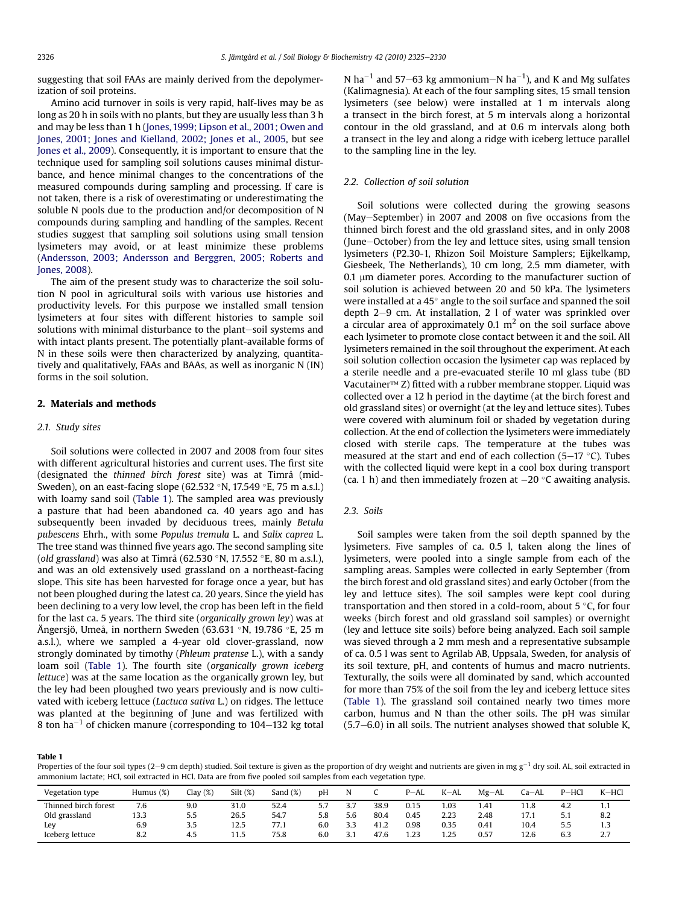<span id="page-1-0"></span>suggesting that soil FAAs are mainly derived from the depolymerization of soil proteins.

Amino acid turnover in soils is very rapid, half-lives may be as long as 20 h in soils with no plants, but they are usually less than 3 h and may be less than 1 h [\(Jones, 1999; Lipson et al., 2001; Owen and](#page-5-0) [Jones, 2001; Jones and Kielland, 2002; Jones et al., 2005,](#page-5-0) but see [Jones et al., 2009](#page-5-0)). Consequently, it is important to ensure that the technique used for sampling soil solutions causes minimal disturbance, and hence minimal changes to the concentrations of the measured compounds during sampling and processing. If care is not taken, there is a risk of overestimating or underestimating the soluble N pools due to the production and/or decomposition of N compounds during sampling and handling of the samples. Recent studies suggest that sampling soil solutions using small tension lysimeters may avoid, or at least minimize these problems ([Andersson, 2003; Andersson and Berggren, 2005; Roberts and](#page-5-0) [Jones, 2008\)](#page-5-0).

The aim of the present study was to characterize the soil solution N pool in agricultural soils with various use histories and productivity levels. For this purpose we installed small tension lysimeters at four sites with different histories to sample soil solutions with minimal disturbance to the plant-soil systems and with intact plants present. The potentially plant-available forms of N in these soils were then characterized by analyzing, quantitatively and qualitatively, FAAs and BAAs, as well as inorganic N (IN) forms in the soil solution.

# 2. Materials and methods

#### 2.1. Study sites

Soil solutions were collected in 2007 and 2008 from four sites with different agricultural histories and current uses. The first site (designated the thinned birch forest site) was at Timrå (mid-Sweden), on an east-facing slope (62.532 °N, 17.549 °E, 75 m a.s.l.) with loamy sand soil (Table 1). The sampled area was previously a pasture that had been abandoned ca. 40 years ago and has subsequently been invaded by deciduous trees, mainly Betula pubescens Ehrh., with some Populus tremula L. and Salix caprea L. The tree stand was thinned five years ago. The second sampling site (old grassland) was also at Timrå (62.530 °N, 17.552 °E, 80 m a.s.l.), and was an old extensively used grassland on a northeast-facing slope. This site has been harvested for forage once a year, but has not been ploughed during the latest ca. 20 years. Since the yield has been declining to a very low level, the crop has been left in the field for the last ca. 5 years. The third site (organically grown ley) was at Ängersjö, Umeå, in northern Sweden (63.631 °N, 19.786 °E, 25 m a.s.l.), where we sampled a 4-year old clover-grassland, now strongly dominated by timothy (Phleum pratense L.), with a sandy loam soil (Table 1). The fourth site (organically grown iceberg lettuce) was at the same location as the organically grown ley, but the ley had been ploughed two years previously and is now cultivated with iceberg lettuce (Lactuca sativa L.) on ridges. The lettuce was planted at the beginning of June and was fertilized with 8 ton  $ha^{-1}$  of chicken manure (corresponding to 104–132 kg total N ha $^{-1}$  and 57–63 kg ammonium–N ha $^{-1}$ ), and K and Mg sulfates (Kalimagnesia). At each of the four sampling sites, 15 small tension lysimeters (see below) were installed at 1 m intervals along a transect in the birch forest, at 5 m intervals along a horizontal contour in the old grassland, and at 0.6 m intervals along both a transect in the ley and along a ridge with iceberg lettuce parallel to the sampling line in the ley.

#### 2.2. Collection of soil solution

Soil solutions were collected during the growing seasons (May-September) in 2007 and 2008 on five occasions from the thinned birch forest and the old grassland sites, and in only 2008 (June-October) from the ley and lettuce sites, using small tension lysimeters (P2.30-1, Rhizon Soil Moisture Samplers; Eijkelkamp, Giesbeek, The Netherlands), 10 cm long, 2.5 mm diameter, with  $0.1 \mu$ m diameter pores. According to the manufacturer suction of soil solution is achieved between 20 and 50 kPa. The lysimeters were installed at a  $45^{\circ}$  angle to the soil surface and spanned the soil depth  $2-9$  cm. At installation,  $2\,1$  of water was sprinkled over a circular area of approximately 0.1  $m<sup>2</sup>$  on the soil surface above each lysimeter to promote close contact between it and the soil. All lysimeters remained in the soil throughout the experiment. At each soil solution collection occasion the lysimeter cap was replaced by a sterile needle and a pre-evacuated sterile 10 ml glass tube (BD Vacutainer $TM$  Z) fitted with a rubber membrane stopper. Liquid was collected over a 12 h period in the daytime (at the birch forest and old grassland sites) or overnight (at the ley and lettuce sites). Tubes were covered with aluminum foil or shaded by vegetation during collection. At the end of collection the lysimeters were immediately closed with sterile caps. The temperature at the tubes was measured at the start and end of each collection (5–17  $\,^{\circ}$ C). Tubes with the collected liquid were kept in a cool box during transport (ca. 1 h) and then immediately frozen at  $-20$  °C awaiting analysis.

### 2.3. Soils

Soil samples were taken from the soil depth spanned by the lysimeters. Five samples of ca. 0.5 l, taken along the lines of lysimeters, were pooled into a single sample from each of the sampling areas. Samples were collected in early September (from the birch forest and old grassland sites) and early October (from the ley and lettuce sites). The soil samples were kept cool during transportation and then stored in a cold-room, about 5  $\degree$ C, for four weeks (birch forest and old grassland soil samples) or overnight (ley and lettuce site soils) before being analyzed. Each soil sample was sieved through a 2 mm mesh and a representative subsample of ca. 0.5 l was sent to Agrilab AB, Uppsala, Sweden, for analysis of its soil texture, pH, and contents of humus and macro nutrients. Texturally, the soils were all dominated by sand, which accounted for more than 75% of the soil from the ley and iceberg lettuce sites (Table 1). The grassland soil contained nearly two times more carbon, humus and N than the other soils. The pH was similar  $(5.7–6.0)$  in all soils. The nutrient analyses showed that soluble K,

Table 1

Properties of the four soil types (2–9 cm depth) studied. Soil texture is given as the proportion of dry weight and nutrients are given in mg  $g^{-1}$  dry soil. AL, soil extracted in ammonium lactate; HCl, soil extracted in HCl. Data are from five pooled soil samples from each vegetation type.

| Vegetation type      | Humus (%) | Clav(%) | Silt(%) | Sand $(\%)$ | DΗ  | N   |      | $P-AL$ | $K-AL$ | $Mg-AL$ | $Ca - AL$ | $P-HCl$ | $K-HCl$ |
|----------------------|-----------|---------|---------|-------------|-----|-----|------|--------|--------|---------|-----------|---------|---------|
| Thinned birch forest | 7.6       | 9.0     | 31.0    | 52.4        | 5.7 | 27  | 38.9 | 0.15   | 1.03   | 1.41    | 11.8      | 4.2     | 1.1     |
| Old grassland        | 13.3      | 5.5     | 26.5    | 54.7        | 5.8 | 5.6 | 80.4 | 0.45   | 2.23   | 2.48    | 17.1      | 5.1     | 8.2     |
| Ley                  | 6.9       | 3.5     | 12.5    | 77.1        | 6.0 | 3.3 | 41.2 | 0.98   | 0.35   | 0.41    | 10.4      | 5.5     | 1.3     |
| Iceberg lettuce      | 8.2       | 4.5     | 11.5    | 75.8        | 6.0 | 21  | 47.6 | 1.23   | 1.25   | 0.57    | 12.6      | 6.3     | 2.7     |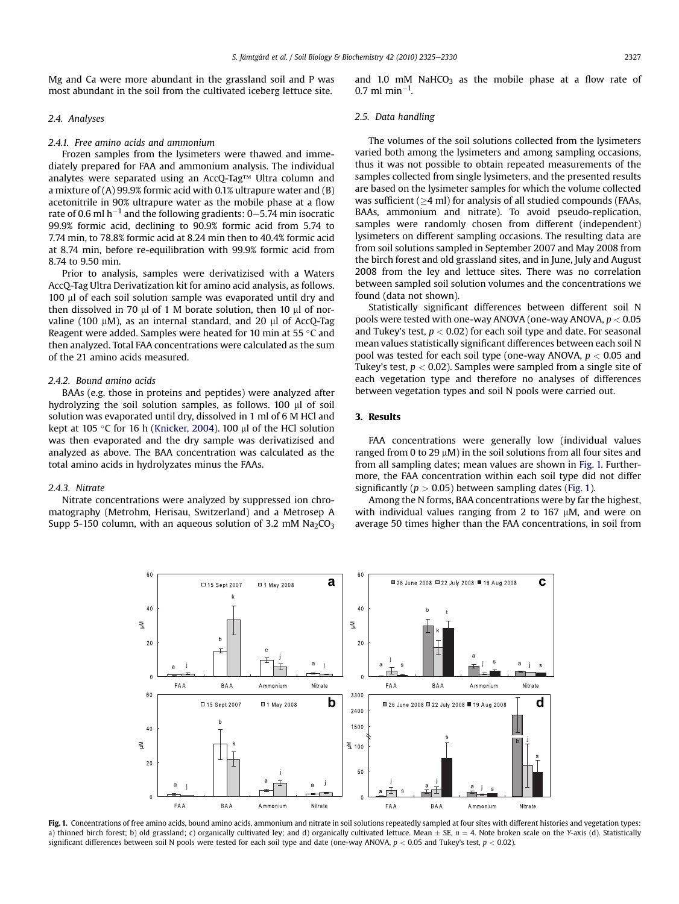<span id="page-2-0"></span>Mg and Ca were more abundant in the grassland soil and P was most abundant in the soil from the cultivated iceberg lettuce site.

#### 2.4. Analyses

#### 2.4.1. Free amino acids and ammonium

Frozen samples from the lysimeters were thawed and immediately prepared for FAA and ammonium analysis. The individual analytes were separated using an AccQ-Tag<sup>TM</sup> Ultra column and a mixture of (A) 99.9% formic acid with 0.1% ultrapure water and (B) acetonitrile in 90% ultrapure water as the mobile phase at a flow rate of 0.6 ml  $h^{-1}$  and the following gradients: 0–5.74 min isocratic 99.9% formic acid, declining to 90.9% formic acid from 5.74 to 7.74 min, to 78.8% formic acid at 8.24 min then to 40.4% formic acid at 8.74 min, before re-equilibration with 99.9% formic acid from 8.74 to 9.50 min.

Prior to analysis, samples were derivatizised with a Waters AccQ-Tag Ultra Derivatization kit for amino acid analysis, as follows. 100 ml of each soil solution sample was evaporated until dry and then dissolved in 70  $\mu$ l of 1 M borate solution, then 10  $\mu$ l of norvaline (100  $\mu$ M), as an internal standard, and 20  $\mu$ l of AccQ-Tag Reagent were added. Samples were heated for 10 min at 55  $^\circ$ C and then analyzed. Total FAA concentrations were calculated as the sum of the 21 amino acids measured.

#### 2.4.2. Bound amino acids

BAAs (e.g. those in proteins and peptides) were analyzed after hydrolyzing the soil solution samples, as follows. 100 µl of soil solution was evaporated until dry, dissolved in 1 ml of 6 M HCl and kept at 105 °C for 16 h ([Knicker, 2004\)](#page-5-0). 100 µl of the HCl solution was then evaporated and the dry sample was derivatizised and analyzed as above. The BAA concentration was calculated as the total amino acids in hydrolyzates minus the FAAs.

#### 2.4.3. Nitrate

Nitrate concentrations were analyzed by suppressed ion chromatography (Metrohm, Herisau, Switzerland) and a Metrosep A Supp 5-150 column, with an aqueous solution of 3.2 mM  $Na<sub>2</sub>CO<sub>3</sub>$  and 1.0 mM NaHCO<sub>3</sub> as the mobile phase at a flow rate of 0.7 ml min<sup>-1</sup>.

#### 2.5. Data handling

The volumes of the soil solutions collected from the lysimeters varied both among the lysimeters and among sampling occasions, thus it was not possible to obtain repeated measurements of the samples collected from single lysimeters, and the presented results are based on the lysimeter samples for which the volume collected was sufficient  $(>4$  ml) for analysis of all studied compounds (FAAs, BAAs, ammonium and nitrate). To avoid pseudo-replication, samples were randomly chosen from different (independent) lysimeters on different sampling occasions. The resulting data are from soil solutions sampled in September 2007 and May 2008 from the birch forest and old grassland sites, and in June, July and August 2008 from the ley and lettuce sites. There was no correlation between sampled soil solution volumes and the concentrations we found (data not shown).

Statistically significant differences between different soil N pools were tested with one-way ANOVA (one-way ANOVA,  $p < 0.05$ and Tukey's test,  $p < 0.02$ ) for each soil type and date. For seasonal mean values statistically significant differences between each soil N pool was tested for each soil type (one-way ANOVA,  $p < 0.05$  and Tukey's test,  $p < 0.02$ ). Samples were sampled from a single site of each vegetation type and therefore no analyses of differences between vegetation types and soil N pools were carried out.

# 3. Results

FAA concentrations were generally low (individual values ranged from 0 to 29  $\mu$ M) in the soil solutions from all four sites and from all sampling dates; mean values are shown in Fig. 1. Furthermore, the FAA concentration within each soil type did not differ significantly ( $p > 0.05$ ) between sampling dates (Fig. 1).

Among the N forms, BAA concentrations were by far the highest, with individual values ranging from 2 to 167  $\mu$ M, and were on average 50 times higher than the FAA concentrations, in soil from



Fig. 1. Concentrations of free amino acids, bound amino acids, ammonium and nitrate in soil solutions repeatedly sampled at four sites with different histories and vegetation types: a) thinned birch forest; b) old grassland; c) organically cultivated ley; and d) organically cultivated lettuce. Mean  $\pm$  SE,  $n = 4$ . Note broken scale on the Y-axis (d). Statistically significant differences between soil N pools were tested for each soil type and date (one-way ANOVA,  $p < 0.05$  and Tukey's test,  $p < 0.02$ ).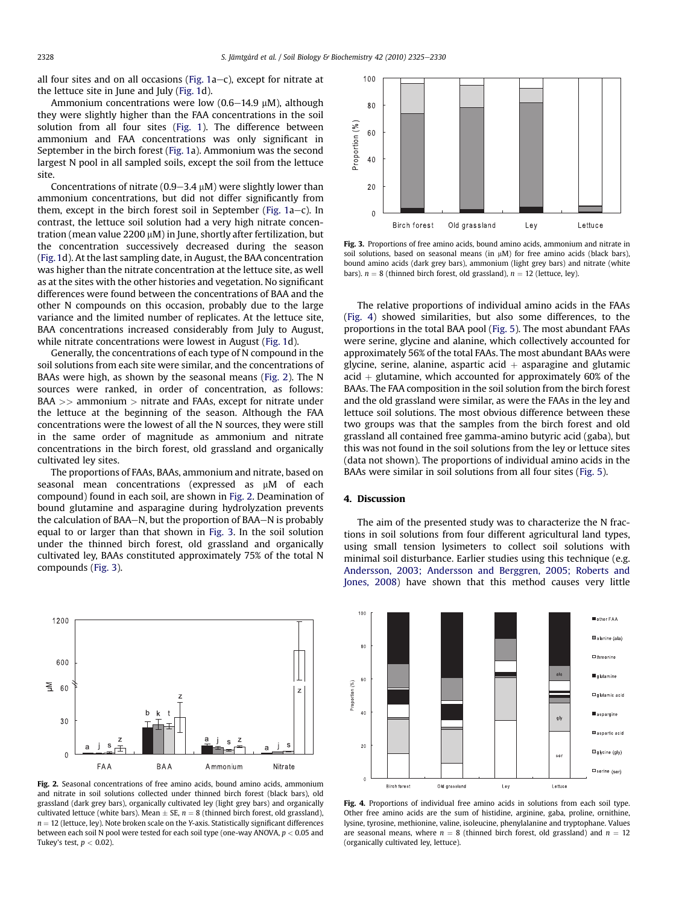<span id="page-3-0"></span>all four sites and on all occasions (Fig.  $1a-c$ ), except for nitrate at the lettuce site in June and July [\(Fig. 1d](#page-2-0)).

Ammonium concentrations were low (0.6-14.9  $\mu$ M), although they were slightly higher than the FAA concentrations in the soil solution from all four sites ([Fig. 1\)](#page-2-0). The difference between ammonium and FAA concentrations was only significant in September in the birch forest [\(Fig. 1a](#page-2-0)). Ammonium was the second largest N pool in all sampled soils, except the soil from the lettuce site.

Concentrations of nitrate ( $0.9-3.4 \mu$ M) were slightly lower than ammonium concentrations, but did not differ significantly from them, except in the birch forest soil in September (Fig.  $1a-c$ ). In contrast, the lettuce soil solution had a very high nitrate concentration (mean value  $2200 \mu M$ ) in June, shortly after fertilization, but the concentration successively decreased during the season ([Fig. 1d](#page-2-0)). At the last sampling date, in August, the BAA concentration was higher than the nitrate concentration at the lettuce site, as well as at the sites with the other histories and vegetation. No significant differences were found between the concentrations of BAA and the other N compounds on this occasion, probably due to the large variance and the limited number of replicates. At the lettuce site, BAA concentrations increased considerably from July to August, while nitrate concentrations were lowest in August ([Fig. 1d](#page-2-0)).

Generally, the concentrations of each type of N compound in the soil solutions from each site were similar, and the concentrations of BAAs were high, as shown by the seasonal means (Fig. 2). The N sources were ranked, in order of concentration, as follows: BAA >> ammonium > nitrate and FAAs, except for nitrate under the lettuce at the beginning of the season. Although the FAA concentrations were the lowest of all the N sources, they were still in the same order of magnitude as ammonium and nitrate concentrations in the birch forest, old grassland and organically cultivated ley sites.

The proportions of FAAs, BAAs, ammonium and nitrate, based on seasonal mean concentrations (expressed as  $\mu$ M of each compound) found in each soil, are shown in Fig. 2. Deamination of bound glutamine and asparagine during hydrolyzation prevents the calculation of BAA $-N$ , but the proportion of BAA $-N$  is probably equal to or larger than that shown in Fig. 3. In the soil solution under the thinned birch forest, old grassland and organically cultivated ley, BAAs constituted approximately 75% of the total N compounds (Fig. 3).



Fig. 2. Seasonal concentrations of free amino acids, bound amino acids, ammonium and nitrate in soil solutions collected under thinned birch forest (black bars), old grassland (dark grey bars), organically cultivated ley (light grey bars) and organically cultivated lettuce (white bars). Mean  $\pm$  SE,  $n = 8$  (thinned birch forest, old grassland),  $n = 12$  (lettuce, ley). Note broken scale on the Y-axis. Statistically significant differences between each soil N pool were tested for each soil type (one-way ANOVA,  $p < 0.05$  and Tukey's test,  $p < 0.02$ ).



Fig. 3. Proportions of free amino acids, bound amino acids, ammonium and nitrate in soil solutions, based on seasonal means (in  $\mu$ M) for free amino acids (black bars), bound amino acids (dark grey bars), ammonium (light grey bars) and nitrate (white bars).  $n = 8$  (thinned birch forest, old grassland),  $n = 12$  (lettuce, ley).

The relative proportions of individual amino acids in the FAAs (Fig. 4) showed similarities, but also some differences, to the proportions in the total BAA pool ([Fig. 5\)](#page-4-0). The most abundant FAAs were serine, glycine and alanine, which collectively accounted for approximately 56% of the total FAAs. The most abundant BAAs were glycine, serine, alanine, aspartic acid  $+$  asparagine and glutamic acid  $+$  glutamine, which accounted for approximately 60% of the BAAs. The FAA composition in the soil solution from the birch forest and the old grassland were similar, as were the FAAs in the ley and lettuce soil solutions. The most obvious difference between these two groups was that the samples from the birch forest and old grassland all contained free gamma-amino butyric acid (gaba), but this was not found in the soil solutions from the ley or lettuce sites (data not shown). The proportions of individual amino acids in the BAAs were similar in soil solutions from all four sites ([Fig. 5\)](#page-4-0).

#### 4. Discussion

The aim of the presented study was to characterize the N fractions in soil solutions from four different agricultural land types, using small tension lysimeters to collect soil solutions with minimal soil disturbance. Earlier studies using this technique (e.g. [Andersson, 2003; Andersson and Berggren, 2005; Roberts and](#page-5-0) [Jones, 2008](#page-5-0)) have shown that this method causes very little



Fig. 4. Proportions of individual free amino acids in solutions from each soil type. Other free amino acids are the sum of histidine, arginine, gaba, proline, ornithine, lysine, tyrosine, methionine, valine, isoleucine, phenylalanine and tryptophane. Values are seasonal means, where  $n = 8$  (thinned birch forest, old grassland) and  $n = 12$ (organically cultivated ley, lettuce).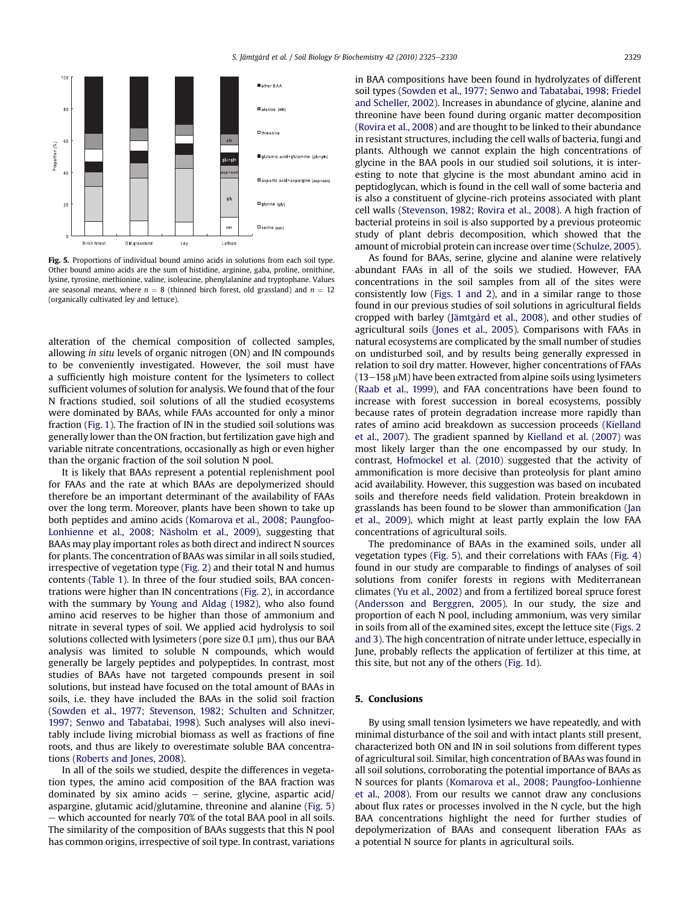<span id="page-4-0"></span>

Fig. 5. Proportions of individual bound amino acids in solutions from each soil type. Other bound amino acids are the sum of histidine, arginine, gaba, proline, ornithine, lysine, tyrosine, methionine, valine, isoleucine, phenylalanine and tryptophane. Values are seasonal means, where  $n = 8$  (thinned birch forest, old grassland) and  $n = 12$ (organically cultivated ley and lettuce).

alteration of the chemical composition of collected samples, allowing in situ levels of organic nitrogen (ON) and IN compounds to be conveniently investigated. However, the soil must have a sufficiently high moisture content for the lysimeters to collect sufficient volumes of solution for analysis. We found that of the four N fractions studied, soil solutions of all the studied ecosystems were dominated by BAAs, while FAAs accounted for only a minor fraction [\(Fig. 1](#page-2-0)). The fraction of IN in the studied soil solutions was generally lower than the ON fraction, but fertilization gave high and variable nitrate concentrations, occasionally as high or even higher than the organic fraction of the soil solution N pool.

It is likely that BAAs represent a potential replenishment pool for FAAs and the rate at which BAAs are depolymerized should therefore be an important determinant of the availability of FAAs over the long term. Moreover, plants have been shown to take up both peptides and amino acids [\(Komarova et al., 2008; Paungfoo-](#page-5-0)[Lonhienne et al., 2008; Näsholm et al., 2009](#page-5-0)), suggesting that BAAs may play important roles as both direct and indirect N sources for plants. The concentration of BAAs was similar in all soils studied, irrespective of vegetation type [\(Fig. 2\)](#page-3-0) and their total N and humus contents ([Table 1](#page-1-0)). In three of the four studied soils, BAA concentrations were higher than IN concentrations [\(Fig. 2](#page-3-0)), in accordance with the summary by [Young and Aldag \(1982\),](#page-5-0) who also found amino acid reserves to be higher than those of ammonium and nitrate in several types of soil. We applied acid hydrolysis to soil solutions collected with lysimeters (pore size  $0.1 \mu m$ ), thus our BAA analysis was limited to soluble N compounds, which would generally be largely peptides and polypeptides. In contrast, most studies of BAAs have not targeted compounds present in soil solutions, but instead have focused on the total amount of BAAs in soils, i.e. they have included the BAAs in the solid soil fraction ([Sowden et al., 1977; Stevenson, 1982; Schulten and Schnitzer,](#page-5-0) [1997; Senwo and Tabatabai, 1998](#page-5-0)). Such analyses will also inevitably include living microbial biomass as well as fractions of fine roots, and thus are likely to overestimate soluble BAA concentrations ([Roberts and Jones, 2008](#page-5-0)).

In all of the soils we studied, despite the differences in vegetation types, the amino acid composition of the BAA fraction was dominated by six amino acids  $-$  serine, glycine, aspartic acid/ aspargine, glutamic acid/glutamine, threonine and alanine (Fig. 5) – which accounted for nearly 70% of the total BAA pool in all soils. The similarity of the composition of BAAs suggests that this N pool has common origins, irrespective of soil type. In contrast, variations in BAA compositions have been found in hydrolyzates of different soil types ([Sowden et al., 1977; Senwo and Tabatabai, 1998; Friedel](#page-5-0) [and Scheller, 2002\)](#page-5-0). Increases in abundance of glycine, alanine and threonine have been found during organic matter decomposition ([Rovira et al., 2008\)](#page-5-0) and are thought to be linked to their abundance in resistant structures, including the cell walls of bacteria, fungi and plants. Although we cannot explain the high concentrations of glycine in the BAA pools in our studied soil solutions, it is interesting to note that glycine is the most abundant amino acid in peptidoglycan, which is found in the cell wall of some bacteria and is also a constituent of glycine-rich proteins associated with plant cell walls ([Stevenson, 1982; Rovira et al., 2008\)](#page-5-0). A high fraction of bacterial proteins in soil is also supported by a previous proteomic study of plant debris decomposition, which showed that the amount of microbial protein can increase over time ([Schulze, 2005\)](#page-5-0).

As found for BAAs, serine, glycine and alanine were relatively abundant FAAs in all of the soils we studied. However, FAA concentrations in the soil samples from all of the sites were consistently low ([Figs. 1 and 2](#page-2-0)), and in a similar range to those found in our previous studies of soil solutions in agricultural fields cropped with barley ([Jämtgård et al., 2008\)](#page-5-0), and other studies of agricultural soils [\(Jones et al., 2005\)](#page-5-0). Comparisons with FAAs in natural ecosystems are complicated by the small number of studies on undisturbed soil, and by results being generally expressed in relation to soil dry matter. However, higher concentrations of FAAs  $(13-158 \mu M)$  have been extracted from alpine soils using lysimeters ([Raab et al., 1999](#page-5-0)), and FAA concentrations have been found to increase with forest succession in boreal ecosystems, possibly because rates of protein degradation increase more rapidly than rates of amino acid breakdown as succession proceeds ([Kielland](#page-5-0) [et al., 2007\)](#page-5-0). The gradient spanned by [Kielland et al. \(2007\)](#page-5-0) was most likely larger than the one encompassed by our study. In contrast, [Hofmockel et al. \(2010\)](#page-5-0) suggested that the activity of ammonification is more decisive than proteolysis for plant amino acid availability. However, this suggestion was based on incubated soils and therefore needs field validation. Protein breakdown in grasslands has been found to be slower than ammonification ([Jan](#page-5-0) [et al., 2009](#page-5-0)), which might at least partly explain the low FAA concentrations of agricultural soils.

The predominance of BAAs in the examined soils, under all vegetation types (Fig. 5), and their correlations with FAAs ([Fig. 4\)](#page-3-0) found in our study are comparable to findings of analyses of soil solutions from conifer forests in regions with Mediterranean climates [\(Yu et al., 2002](#page-5-0)) and from a fertilized boreal spruce forest ([Andersson and Berggren, 2005\)](#page-5-0). In our study, the size and proportion of each N pool, including ammonium, was very similar in soils from all of the examined sites, except the lettuce site [\(Figs. 2](#page-3-0) [and 3](#page-3-0)). The high concentration of nitrate under lettuce, especially in June, probably reflects the application of fertilizer at this time, at this site, but not any of the others ([Fig. 1](#page-2-0)d).

### 5. Conclusions

By using small tension lysimeters we have repeatedly, and with minimal disturbance of the soil and with intact plants still present, characterized both ON and IN in soil solutions from different types of agricultural soil. Similar, high concentration of BAAs was found in all soil solutions, corroborating the potential importance of BAAs as N sources for plants ([Komarova et al., 2008; Paungfoo-Lonhienne](#page-5-0) [et al., 2008](#page-5-0)). From our results we cannot draw any conclusions about flux rates or processes involved in the N cycle, but the high BAA concentrations highlight the need for further studies of depolymerization of BAAs and consequent liberation FAAs as a potential N source for plants in agricultural soils.